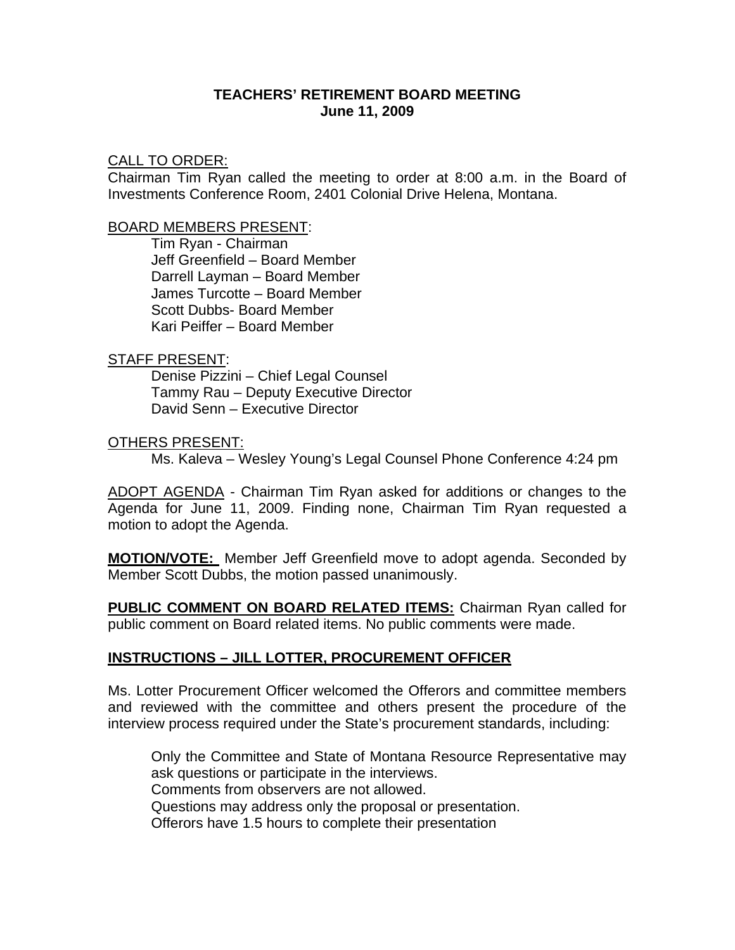### **TEACHERS' RETIREMENT BOARD MEETING June 11, 2009**

#### CALL TO ORDER:

Chairman Tim Ryan called the meeting to order at 8:00 a.m. in the Board of Investments Conference Room, 2401 Colonial Drive Helena, Montana.

#### BOARD MEMBERS PRESENT:

Tim Ryan - Chairman Jeff Greenfield – Board Member Darrell Layman – Board Member James Turcotte – Board Member Scott Dubbs- Board Member Kari Peiffer – Board Member

### STAFF PRESENT:

Denise Pizzini – Chief Legal Counsel Tammy Rau – Deputy Executive Director David Senn – Executive Director

#### OTHERS PRESENT:

Ms. Kaleva – Wesley Young's Legal Counsel Phone Conference 4:24 pm

ADOPT AGENDA - Chairman Tim Ryan asked for additions or changes to the Agenda for June 11, 2009. Finding none, Chairman Tim Ryan requested a motion to adopt the Agenda.

**MOTION/VOTE:** Member Jeff Greenfield move to adopt agenda. Seconded by Member Scott Dubbs, the motion passed unanimously.

**PUBLIC COMMENT ON BOARD RELATED ITEMS:** Chairman Ryan called for public comment on Board related items. No public comments were made.

### **INSTRUCTIONS – JILL LOTTER, PROCUREMENT OFFICER**

Ms. Lotter Procurement Officer welcomed the Offerors and committee members and reviewed with the committee and others present the procedure of the interview process required under the State's procurement standards, including:

Only the Committee and State of Montana Resource Representative may ask questions or participate in the interviews. Comments from observers are not allowed. Questions may address only the proposal or presentation. Offerors have 1.5 hours to complete their presentation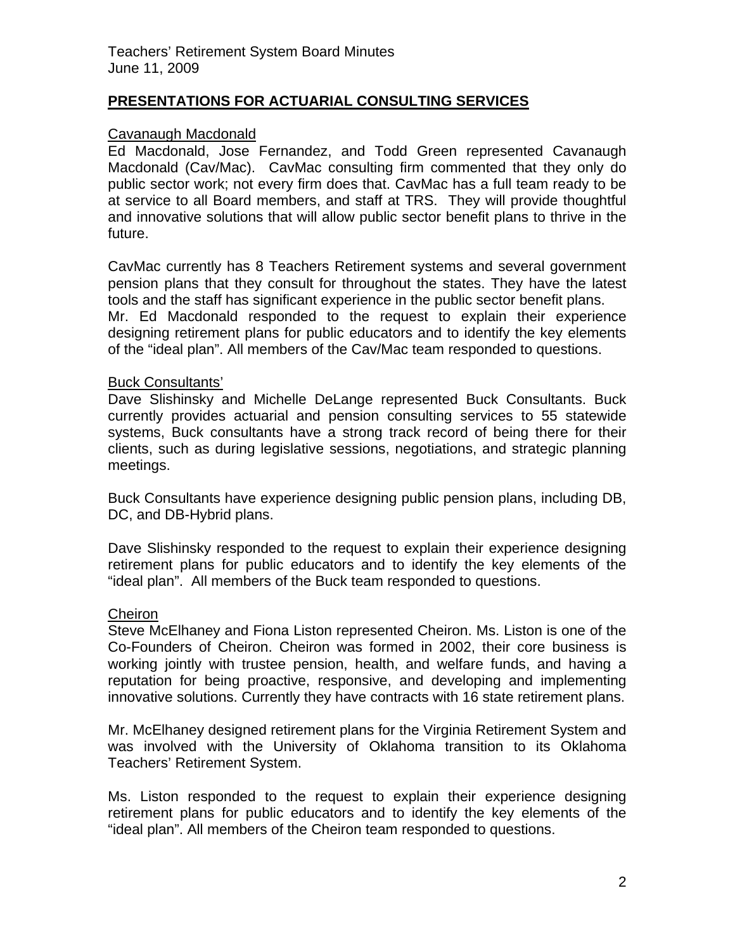# **PRESENTATIONS FOR ACTUARIAL CONSULTING SERVICES**

## Cavanaugh Macdonald

Ed Macdonald, Jose Fernandez, and Todd Green represented Cavanaugh Macdonald (Cav/Mac). CavMac consulting firm commented that they only do public sector work; not every firm does that. CavMac has a full team ready to be at service to all Board members, and staff at TRS. They will provide thoughtful and innovative solutions that will allow public sector benefit plans to thrive in the future.

CavMac currently has 8 Teachers Retirement systems and several government pension plans that they consult for throughout the states. They have the latest tools and the staff has significant experience in the public sector benefit plans. Mr. Ed Macdonald responded to the request to explain their experience designing retirement plans for public educators and to identify the key elements of the "ideal plan". All members of the Cav/Mac team responded to questions.

### Buck Consultants'

Dave Slishinsky and Michelle DeLange represented Buck Consultants. Buck currently provides actuarial and pension consulting services to 55 statewide systems, Buck consultants have a strong track record of being there for their clients, such as during legislative sessions, negotiations, and strategic planning meetings.

Buck Consultants have experience designing public pension plans, including DB, DC, and DB-Hybrid plans.

Dave Slishinsky responded to the request to explain their experience designing retirement plans for public educators and to identify the key elements of the "ideal plan". All members of the Buck team responded to questions.

### **Cheiron**

Steve McElhaney and Fiona Liston represented Cheiron. Ms. Liston is one of the Co-Founders of Cheiron. Cheiron was formed in 2002, their core business is working jointly with trustee pension, health, and welfare funds, and having a reputation for being proactive, responsive, and developing and implementing innovative solutions. Currently they have contracts with 16 state retirement plans.

Mr. McElhaney designed retirement plans for the Virginia Retirement System and was involved with the University of Oklahoma transition to its Oklahoma Teachers' Retirement System.

Ms. Liston responded to the request to explain their experience designing retirement plans for public educators and to identify the key elements of the "ideal plan". All members of the Cheiron team responded to questions.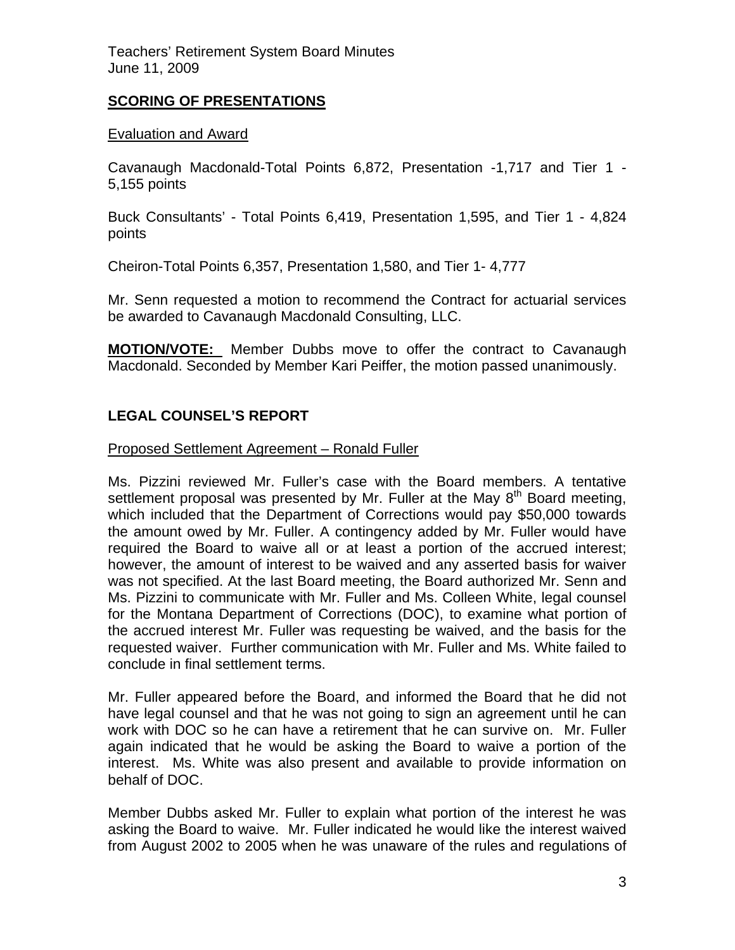Teachers' Retirement System Board Minutes June 11, 2009

# **SCORING OF PRESENTATIONS**

## Evaluation and Award

Cavanaugh Macdonald-Total Points 6,872, Presentation -1,717 and Tier 1 - 5,155 points

Buck Consultants' - Total Points 6,419, Presentation 1,595, and Tier 1 - 4,824 points

Cheiron-Total Points 6,357, Presentation 1,580, and Tier 1- 4,777

Mr. Senn requested a motion to recommend the Contract for actuarial services be awarded to Cavanaugh Macdonald Consulting, LLC.

**MOTION/VOTE:** Member Dubbs move to offer the contract to Cavanaugh Macdonald. Seconded by Member Kari Peiffer, the motion passed unanimously.

# **LEGAL COUNSEL'S REPORT**

### Proposed Settlement Agreement – Ronald Fuller

Ms. Pizzini reviewed Mr. Fuller's case with the Board members. A tentative settlement proposal was presented by Mr. Fuller at the May  $8<sup>th</sup>$  Board meeting, which included that the Department of Corrections would pay \$50,000 towards the amount owed by Mr. Fuller. A contingency added by Mr. Fuller would have required the Board to waive all or at least a portion of the accrued interest; however, the amount of interest to be waived and any asserted basis for waiver was not specified. At the last Board meeting, the Board authorized Mr. Senn and Ms. Pizzini to communicate with Mr. Fuller and Ms. Colleen White, legal counsel for the Montana Department of Corrections (DOC), to examine what portion of the accrued interest Mr. Fuller was requesting be waived, and the basis for the requested waiver. Further communication with Mr. Fuller and Ms. White failed to conclude in final settlement terms.

Mr. Fuller appeared before the Board, and informed the Board that he did not have legal counsel and that he was not going to sign an agreement until he can work with DOC so he can have a retirement that he can survive on. Mr. Fuller again indicated that he would be asking the Board to waive a portion of the interest. Ms. White was also present and available to provide information on behalf of DOC.

Member Dubbs asked Mr. Fuller to explain what portion of the interest he was asking the Board to waive. Mr. Fuller indicated he would like the interest waived from August 2002 to 2005 when he was unaware of the rules and regulations of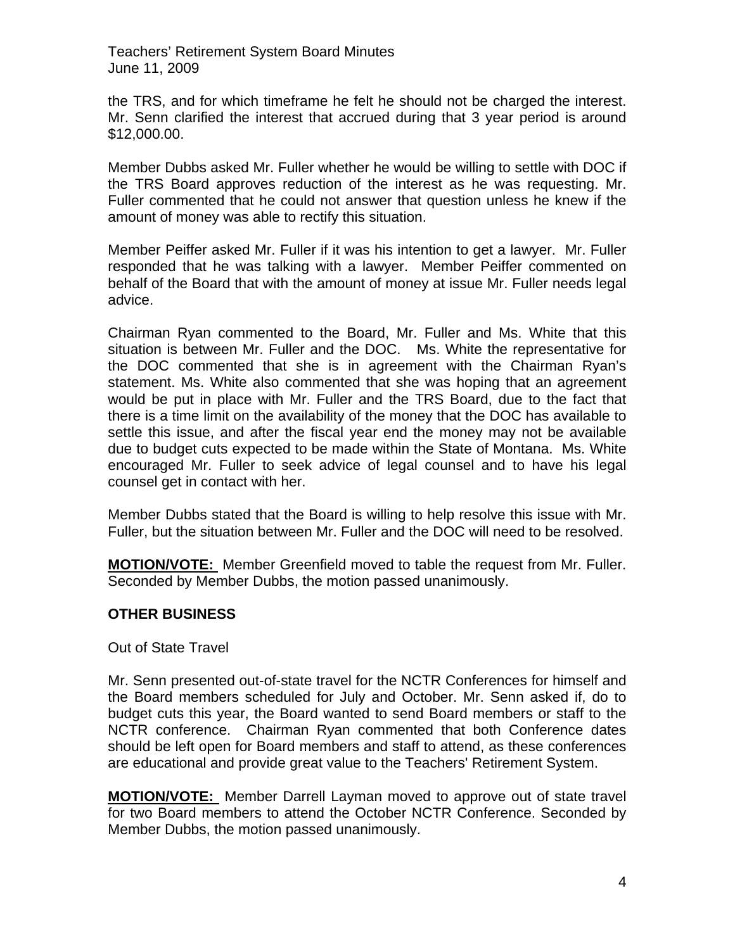Teachers' Retirement System Board Minutes June 11, 2009

the TRS, and for which timeframe he felt he should not be charged the interest. Mr. Senn clarified the interest that accrued during that 3 year period is around \$12,000.00.

Member Dubbs asked Mr. Fuller whether he would be willing to settle with DOC if the TRS Board approves reduction of the interest as he was requesting. Mr. Fuller commented that he could not answer that question unless he knew if the amount of money was able to rectify this situation.

Member Peiffer asked Mr. Fuller if it was his intention to get a lawyer. Mr. Fuller responded that he was talking with a lawyer. Member Peiffer commented on behalf of the Board that with the amount of money at issue Mr. Fuller needs legal advice.

Chairman Ryan commented to the Board, Mr. Fuller and Ms. White that this situation is between Mr. Fuller and the DOC. Ms. White the representative for the DOC commented that she is in agreement with the Chairman Ryan's statement. Ms. White also commented that she was hoping that an agreement would be put in place with Mr. Fuller and the TRS Board, due to the fact that there is a time limit on the availability of the money that the DOC has available to settle this issue, and after the fiscal year end the money may not be available due to budget cuts expected to be made within the State of Montana. Ms. White encouraged Mr. Fuller to seek advice of legal counsel and to have his legal counsel get in contact with her.

Member Dubbs stated that the Board is willing to help resolve this issue with Mr. Fuller, but the situation between Mr. Fuller and the DOC will need to be resolved.

**MOTION/VOTE:** Member Greenfield moved to table the request from Mr. Fuller. Seconded by Member Dubbs, the motion passed unanimously.

## **OTHER BUSINESS**

Out of State Travel

Mr. Senn presented out-of-state travel for the NCTR Conferences for himself and the Board members scheduled for July and October. Mr. Senn asked if, do to budget cuts this year, the Board wanted to send Board members or staff to the NCTR conference. Chairman Ryan commented that both Conference dates should be left open for Board members and staff to attend, as these conferences are educational and provide great value to the Teachers' Retirement System.

**MOTION/VOTE:** Member Darrell Layman moved to approve out of state travel for two Board members to attend the October NCTR Conference. Seconded by Member Dubbs, the motion passed unanimously.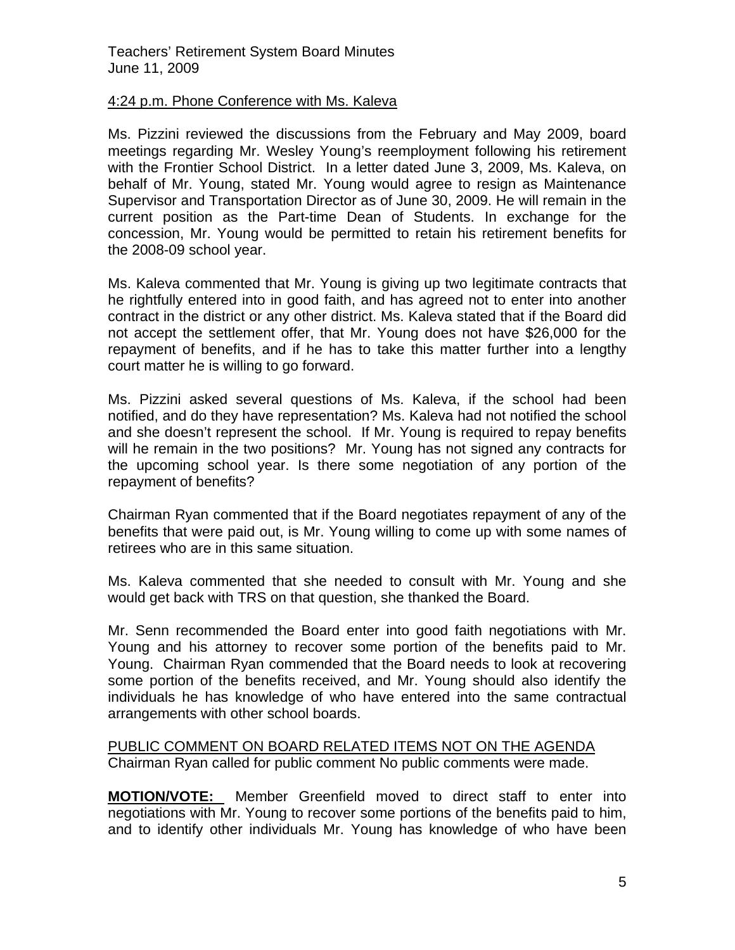## 4:24 p.m. Phone Conference with Ms. Kaleva

Ms. Pizzini reviewed the discussions from the February and May 2009, board meetings regarding Mr. Wesley Young's reemployment following his retirement with the Frontier School District. In a letter dated June 3, 2009, Ms. Kaleva, on behalf of Mr. Young, stated Mr. Young would agree to resign as Maintenance Supervisor and Transportation Director as of June 30, 2009. He will remain in the current position as the Part-time Dean of Students. In exchange for the concession, Mr. Young would be permitted to retain his retirement benefits for the 2008-09 school year.

Ms. Kaleva commented that Mr. Young is giving up two legitimate contracts that he rightfully entered into in good faith, and has agreed not to enter into another contract in the district or any other district. Ms. Kaleva stated that if the Board did not accept the settlement offer, that Mr. Young does not have \$26,000 for the repayment of benefits, and if he has to take this matter further into a lengthy court matter he is willing to go forward.

Ms. Pizzini asked several questions of Ms. Kaleva, if the school had been notified, and do they have representation? Ms. Kaleva had not notified the school and she doesn't represent the school. If Mr. Young is required to repay benefits will he remain in the two positions? Mr. Young has not signed any contracts for the upcoming school year. Is there some negotiation of any portion of the repayment of benefits?

Chairman Ryan commented that if the Board negotiates repayment of any of the benefits that were paid out, is Mr. Young willing to come up with some names of retirees who are in this same situation.

Ms. Kaleva commented that she needed to consult with Mr. Young and she would get back with TRS on that question, she thanked the Board.

Mr. Senn recommended the Board enter into good faith negotiations with Mr. Young and his attorney to recover some portion of the benefits paid to Mr. Young. Chairman Ryan commended that the Board needs to look at recovering some portion of the benefits received, and Mr. Young should also identify the individuals he has knowledge of who have entered into the same contractual arrangements with other school boards.

### PUBLIC COMMENT ON BOARD RELATED ITEMS NOT ON THE AGENDA Chairman Ryan called for public comment No public comments were made.

**MOTION/VOTE:** Member Greenfield moved to direct staff to enter into negotiations with Mr. Young to recover some portions of the benefits paid to him, and to identify other individuals Mr. Young has knowledge of who have been